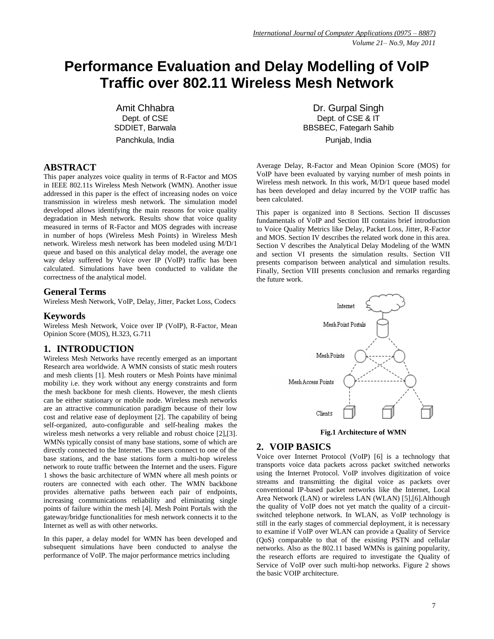# **Performance Evaluation and Delay Modelling of VoIP Traffic over 802.11 Wireless Mesh Network**

Amit Chhabra Dept. of CSE SDDIET, Barwala Panchkula, India

## **ABSTRACT**

This paper analyzes voice quality in terms of R-Factor and MOS in IEEE 802.11s Wireless Mesh Network (WMN). Another issue addressed in this paper is the effect of increasing nodes on voice transmission in wireless mesh network. The simulation model developed allows identifying the main reasons for voice quality degradation in Mesh network. Results show that voice quality measured in terms of R-Factor and MOS degrades with increase in number of hops (Wireless Mesh Points) in Wireless Mesh network. Wireless mesh network has been modeled using M/D/1 queue and based on this analytical delay model, the average one way delay suffered by Voice over IP (VoIP) traffic has been calculated. Simulations have been conducted to validate the correctness of the analytical model.

#### **General Terms**

Wireless Mesh Network, VoIP, Delay, Jitter, Packet Loss, Codecs

#### **Keywords**

Wireless Mesh Network, Voice over IP (VoIP), R-Factor, Mean Opinion Score (MOS), H.323, G.711

## **1. INTRODUCTION**

Wireless Mesh Networks have recently emerged as an important Research area worldwide. A WMN consists of static mesh routers and mesh clients [1]. Mesh routers or Mesh Points have minimal mobility i.e. they work without any energy constraints and form the mesh backbone for mesh clients. However, the mesh clients can be either stationary or mobile node. Wireless mesh networks are an attractive communication paradigm because of their low cost and relative ease of deployment [2]. The capability of being self-organized, auto-configurable and self-healing makes the wireless mesh networks a very reliable and robust choice [2],[3]. WMNs typically consist of many base stations, some of which are directly connected to the Internet. The users connect to one of the base stations, and the base stations form a multi-hop wireless network to route traffic between the Internet and the users. Figure 1 shows the basic architecture of WMN where all mesh points or routers are connected with each other. The WMN backbone provides alternative paths between each pair of endpoints, increasing communications reliability and eliminating single points of failure within the mesh [4]. Mesh Point Portals with the gateway/bridge functionalities for mesh network connects it to the Internet as well as with other networks.

In this paper, a delay model for WMN has been developed and subsequent simulations have been conducted to analyse the performance of VoIP. The major performance metrics including

Dr. Gurpal Singh Dept. of CSE & IT BBSBEC, Fategarh Sahib Punjab, India

Average Delay, R-Factor and Mean Opinion Score (MOS) for VoIP have been evaluated by varying number of mesh points in Wireless mesh network. In this work, M/D/1 queue based model has been developed and delay incurred by the VOIP traffic has been calculated.

This paper is organized into 8 Sections. Section II discusses fundamentals of VoIP and Section III contains brief introduction to Voice Quality Metrics like Delay, Packet Loss, Jitter, R-Factor and MOS. Section IV describes the related work done in this area. Section V describes the Analytical Delay Modeling of the WMN and section VI presents the simulation results. Section VII presents comparison between analytical and simulation results. Finally, Section VIII presents conclusion and remarks regarding the future work.



**Fig.1 Architecture of WMN**

## **2. VOIP BASICS**

Voice over Internet Protocol (VoIP) [6] is a technology that transports voice data packets across packet switched networks using the Internet Protocol. VoIP involves digitization of voice streams and transmitting the digital voice as packets over conventional IP-based packet networks like the Internet, Local Area Network (LAN) or wireless LAN (WLAN) [5],[6].Although the quality of VoIP does not yet match the quality of a circuitswitched telephone network. In WLAN, as VoIP technology is still in the early stages of commercial deployment, it is necessary to examine if VoIP over WLAN can provide a Quality of Service (QoS) comparable to that of the existing PSTN and cellular networks. Also as the 802.11 based WMNs is gaining popularity, the research efforts are required to investigate the Quality of Service of VoIP over such multi-hop networks. Figure 2 shows the basic VOIP architecture.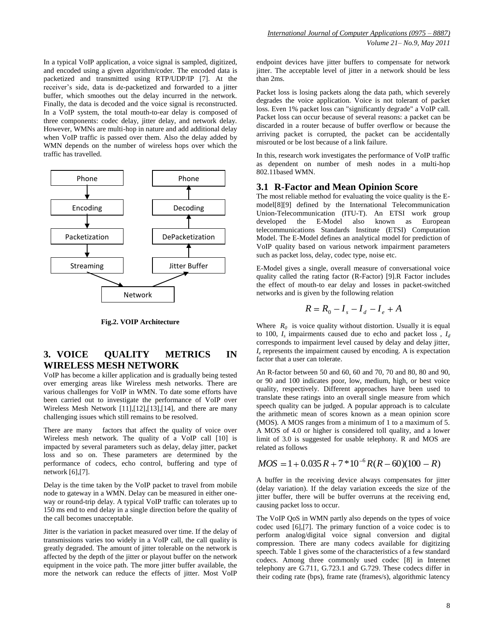In a typical VoIP application, a voice signal is sampled, digitized, and encoded using a given algorithm/coder. The encoded data is packetized and transmitted using RTP/UDP/IP [7]. At the receiver's side, data is de-packetized and forwarded to a jitter buffer, which smoothes out the delay incurred in the network. Finally, the data is decoded and the voice signal is reconstructed. In a VoIP system, the total mouth-to-ear delay is composed of three components: codec delay, jitter delay, and network delay. However, WMNs are multi-hop in nature and add additional delay when VoIP traffic is passed over them. Also the delay added by WMN depends on the number of wireless hops over which the traffic has travelled.



**Fig.2. VOIP Architecture**

# **3. VOICE QUALITY METRICS IN WIRELESS MESH NETWORK**

VoIP has become a killer application and is gradually being tested over emerging areas like Wireless mesh networks. There are various challenges for VoIP in WMN. To date some efforts have been carried out to investigate the performance of VoIP over Wireless Mesh Network [11],[12],[13],[14], and there are many challenging issues which still remains to be resolved.

There are many factors that affect the quality of voice over Wireless mesh network. The quality of a VoIP call [10] is impacted by several parameters such as delay, delay jitter, packet loss and so on. These parameters are determined by the performance of codecs, echo control, buffering and type of network [6],[7].

Delay is the time taken by the VoIP packet to travel from mobile node to gateway in a WMN. Delay can be measured in either oneway or round-trip delay. A typical VoIP traffic can tolerates up to 150 ms end to end delay in a single direction before the quality of the call becomes unacceptable.

Jitter is the variation in packet measured over time. If the delay of transmissions varies too widely in a VoIP call, the call quality is greatly degraded. The amount of jitter tolerable on the network is affected by the depth of the jitter or playout buffer on the network equipment in the voice path. The more jitter buffer available, the more the network can reduce the effects of jitter. Most VoIP

endpoint devices have jitter buffers to compensate for network jitter. The acceptable level of jitter in a network should be less than 2ms.

Packet loss is losing packets along the data path, which severely degrades the voice application. Voice is not tolerant of packet loss. Even 1% packet loss can "significantly degrade" a VoIP call. Packet loss can occur because of several reasons: a packet can be discarded in a router because of buffer overflow or because the arriving packet is corrupted, the packet can be accidentally misrouted or be lost because of a link failure.

In this, research work investigates the performance of VoIP traffic as dependent on number of mesh nodes in a multi-hop 802.11based WMN.

## **3.1 R-Factor and Mean Opinion Score**

The most reliable method for evaluating the voice quality is the Emodel[8][9] defined by the International Telecommunication Union-Telecommunication (ITU-T). An ETSI work group developed the E-Model also known as European telecommunications Standards Institute (ETSI) Computation Model. The E-Model defines an analytical model for prediction of VoIP quality based on various network impairment parameters such as packet loss, delay, codec type, noise etc.

E-Model gives a single, overall measure of conversational voice quality called the rating factor (R-Factor) [9].R Factor includes the effect of mouth-to ear delay and losses in packet-switched networks and is given by the following relation

$$
R = R_0 - I_s - I_d - I_e + A
$$

Where  $R_0$  is voice quality without distortion. Usually it is equal to 100,  $I_s$  impairments caused due to echo and packet loss,  $I_d$ corresponds to impairment level caused by delay and delay jitter,  $I_e$  represents the impairment caused by encoding. A is expectation factor that a user can tolerate.

An R-factor between 50 and 60, 60 and 70, 70 and 80, 80 and 90, or 90 and 100 indicates poor, low, medium, high, or best voice quality, respectively. Different approaches have been used to translate these ratings into an overall single measure from which speech quality can be judged. A popular approach is to calculate the arithmetic mean of scores known as a mean opinion score (MOS). A MOS ranges from a minimum of 1 to a maximum of 5. A MOS of 4.0 or higher is considered toll quality, and a lower limit of 3.0 is suggested for usable telephony. R and MOS are related as follows

$$
MOS = 1 + 0.035 R + 7 * 10^{-6} R(R - 60)(100 - R)
$$

A buffer in the receiving device always compensates for jitter (delay variation). If the delay variation exceeds the size of the jitter buffer, there will be buffer overruns at the receiving end, causing packet loss to occur.

The VoIP QoS in WMN partly also depends on the types of voice codec used [6],[7]. The primary function of a voice codec is to perform analog/digital voice signal conversion and digital compression. There are many codecs available for digitizing speech. Table 1 gives some of the characteristics of a few standard codecs. Among three commonly used codec [8] in Internet telephony are G.711, G.723.1 and G.729. These codecs differ in their coding rate (bps), frame rate (frames/s), algorithmic latency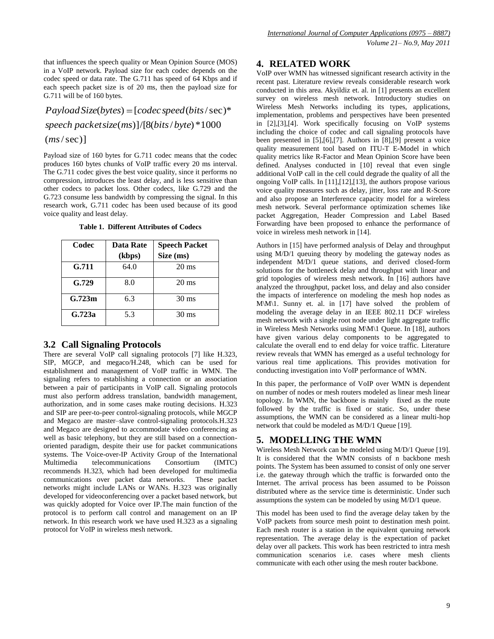that influences the speech quality or Mean Opinion Source (MOS) in a VoIP network. Payload size for each codec depends on the codec speed or data rate. The G.711 has speed of 64 Kbps and if each speech packet size is of 20 ms, then the payload size for G.711 will be of 160 bytes.

 $(ms/sec)$ ] ( )]/[8( / )\*1000 *speech packetsize ms bits byte*  $PayloadSize(bytes) = [code expected(bits/sec)*$ 

Payload size of 160 bytes for G.711 codec means that the codec produces 160 bytes chunks of VoIP traffic every 20 ms interval. The G.711 codec gives the best voice quality, since it performs no compression, introduces the least delay, and is less sensitive than other codecs to packet loss. Other codecs, like G.729 and the G.723 consume less bandwidth by compressing the signal. In this research work, G.711 codec has been used because of its good voice quality and least delay.

**Table 1. Different Attributes of Codecs**

| Codec  | <b>Data Rate</b> | <b>Speech Packet</b> |
|--------|------------------|----------------------|
|        | (kbps)           | Size (ms)            |
| G.711  | 64.0             | $20 \text{ ms}$      |
| G.729  | 8.0              | $20 \text{ ms}$      |
| G.723m | 6.3              | $30 \text{ ms}$      |
| G.723a | 5.3              | $30 \text{ ms}$      |

## **3.2 Call Signaling Protocols**

There are several VoIP call signaling protocols [7] like H.323, SIP, MGCP, and megaco/H.248, which can be used for establishment and management of VoIP traffic in WMN. The signaling refers to establishing a connection or an association between a pair of participants in VoIP call. Signaling protocols must also perform address translation, bandwidth management, authorization, and in some cases make routing decisions. H.323 and SIP are peer-to-peer control-signaling protocols, while MGCP and Megaco are master–slave control-signaling protocols.H.323 and Megaco are designed to accommodate video conferencing as well as basic telephony, but they are still based on a connectionoriented paradigm, despite their use for packet communications systems. The Voice-over-IP Activity Group of the International Multimedia telecommunications Consortium (IMTC) recommends H.323, which had been developed for multimedia communications over packet data networks. These packet networks might include LANs or WANs. H.323 was originally developed for videoconferencing over a packet based network, but was quickly adopted for Voice over IP.The main function of the protocol is to perform call control and management on an IP network. In this research work we have used H.323 as a signaling protocol for VoIP in wireless mesh network.

## **4. RELATED WORK**

VoIP over WMN has witnessed significant research activity in the recent past. Literature review reveals considerable research work conducted in this area. Akyildiz et. al. in [1] presents an excellent survey on wireless mesh network. Introductory studies on Wireless Mesh Networks including its types, applications, implementation, problems and perspectives have been presented in [2],[3],[4]. Work specifically focusing on VoIP systems including the choice of codec and call signaling protocols have been presented in [5],[6],[7]. Authors in [8],[9] present a voice quality measurement tool based on ITU-T E-Model in which quality metrics like R-Factor and Mean Opinion Score have been defined. Analyses conducted in [10] reveal that even single additional VoIP call in the cell could degrade the quality of all the ongoing VoIP calls. In [11],[12],[13], the authors propose various voice quality measures such as delay, jitter, loss rate and R-Score and also propose an Interference capacity model for a wireless mesh network. Several performance optimization schemes like packet Aggregation, Header Compression and Label Based Forwarding have been proposed to enhance the performance of voice in wireless mesh network in [14].

Authors in [15] have performed analysis of Delay and throughput using M/D/1 queuing theory by modeling the gateway nodes as independent M/D/1 queue stations, and derived closed-form solutions for the bottleneck delay and throughput with linear and grid topologies of wireless mesh network. In [16] authors have analyzed the throughput, packet loss, and delay and also consider the impacts of interference on modeling the mesh hop nodes as  $M\setminus M\setminus 1$ . Sunny et. al. in [17] have solved the problem of modeling the average delay in an IEEE 802.11 DCF wireless mesh network with a single root node under light aggregate traffic in Wireless Mesh Networks using M\M\1 Queue. In [18], authors have given various delay components to be aggregated to calculate the overall end to end delay for voice traffic. Literature review reveals that WMN has emerged as a useful technology for various real time applications. This provides motivation for conducting investigation into VoIP performance of WMN.

In this paper, the performance of VoIP over WMN is dependent on number of nodes or mesh routers modeled as linear mesh linear topology. In WMN, the backbone is mainly fixed as the route followed by the traffic is fixed or static. So, under these assumptions, the WMN can be considered as a linear multi-hop network that could be modeled as M/D/1 Queue [19].

# **5. MODELLING THE WMN**

Wireless Mesh Network can be modeled using M/D/1 Queue [19]. It is considered that the WMN consists of n backbone mesh points. The System has been assumed to consist of only one server i.e. the gateway through which the traffic is forwarded onto the Internet. The arrival process has been assumed to be Poisson distributed where as the service time is deterministic. Under such assumptions the system can be modeled by using M/D/1 queue.

This model has been used to find the average delay taken by the VoIP packets from source mesh point to destination mesh point. Each mesh router is a station in the equivalent queuing network representation. The average delay is the expectation of packet delay over all packets. This work has been restricted to intra mesh communication scenarios i.e. cases where mesh clients communicate with each other using the mesh router backbone.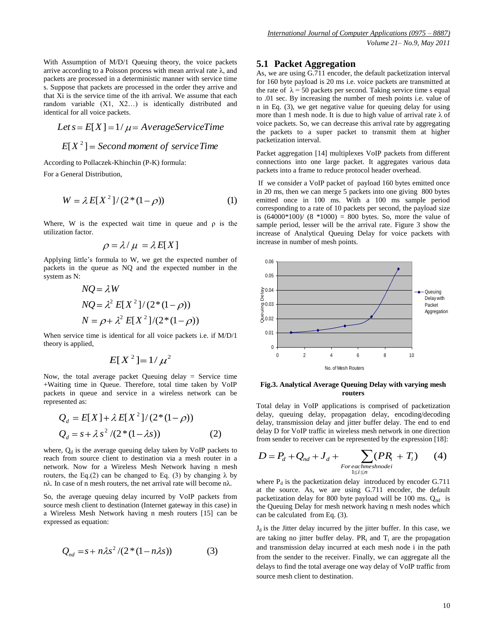With Assumption of M/D/1 Queuing theory, the voice packets arrive according to a Poisson process with mean arrival rate  $\lambda$ , and packets are processed in a deterministic manner with service time s. Suppose that packets are processed in the order they arrive and that Xi is the service time of the ith arrival. We assume that each random variable (X1, X2…) is identically distributed and identical for all voice packets.

$$
Let s = E[X] = 1/\mu = AverageServiceTime
$$

$$
E[X^2] = Second moment of service Time
$$

According to Pollaczek-Khinchin (P-K) formula: For a General Distribution,

$$
W = \lambda E[X^2]/(2^*(1-\rho))
$$
 (1)

Where, W is the expected wait time in queue and  $\rho$  is the utilization factor.

$$
\rho = \lambda / \mu = \lambda E[X]
$$

Applying little's formula to W, we get the expected number of packets in the queue as NQ and the expected number in the system as N:

$$
NQ = \lambda W
$$
  
\n
$$
NQ = \lambda^2 E[X^2]/(2*(1-\rho))
$$
  
\n
$$
N = \rho + \lambda^2 E[X^2]/(2*(1-\rho))
$$

When service time is identical for all voice packets i.e. if M/D/1 theory is applied,

$$
E[X^2] = 1/\mu^2
$$

Now, the total average packet Queuing delay = Service time +Waiting time in Queue. Therefore, total time taken by VoIP packets in queue and service in a wireless network can be represented as:

$$
Q_d = E[X] + \lambda E[X^2]/(2^*(1-\rho))
$$
  
\n
$$
Q_d = s + \lambda s^2 / (2^*(1-\lambda s))
$$
\n(2)

where,  $Q_d$  is the average queuing delay taken by VoIP packets to reach from source client to destination via a mesh router in a network. Now for a Wireless Mesh Network having n mesh routers, the Eq.(2) can be changed to Eq. (3) by changing  $\lambda$  by nλ. In case of n mesh routers, the net arrival rate will become nλ.

So, the average queuing delay incurred by VoIP packets from source mesh client to destination (Internet gateway in this case) in a Wireless Mesh Network having n mesh routers [15] can be expressed as equation:

$$
Q_{nd} = s + n\lambda s^2 / (2*(1 - n\lambda s))
$$
 (3)

## **5.1 Packet Aggregation**

As, we are using G.711 encoder, the default packetization interval for 160 byte payload is 20 ms i.e. voice packets are transmitted at the rate of  $\lambda = 50$  packets per second. Taking service time s equal to .01 sec. By increasing the number of mesh points i.e. value of n in Eq. (3), we get negative value for queuing delay for using more than 1 mesh node. It is due to high value of arrival rate  $\lambda$  of voice packets. So, we can decrease this arrival rate by aggregating the packets to a super packet to transmit them at higher packetization interval.

Packet aggregation [14] multiplexes VoIP packets from different connections into one large packet. It aggregates various data packets into a frame to reduce protocol header overhead.

If we consider a VoIP packet of payload 160 bytes emitted once in 20 ms, then we can merge 5 packets into one giving 800 bytes emitted once in 100 ms. With a 100 ms sample period corresponding to a rate of 10 packets per second, the payload size is  $(64000*100)/(8*1000) = 800$  bytes. So, more the value of sample period, lesser will be the arrival rate. Figure 3 show the increase of Analytical Queuing Delay for voice packets with increase in number of mesh points.



#### **Fig.3. Analytical Average Queuing Delay with varying mesh routers**

Total delay in VoIP applications is comprised of packetization delay, queuing delay, propagation delay, encoding/decoding delay, transmission delay and jitter buffer delay. The end to end delay D for VoIP traffic in wireless mesh network in one direction from sender to receiver can be represented by the expression [18]:

$$
D = P_d + Q_{nd} + J_d + \sum_{\substack{For each mesh node i \\ 1 \le i \le n}} (PR_i + T_i)
$$
 (4)

where  $P_d$  is the packetization delay introduced by encoder G.711 at the source. As, we are using G.711 encoder, the default packetization delay for 800 byte payload will be 100 ms.  $O_{nd}$  is the Queuing Delay for mesh network having n mesh nodes which can be calculated from Eq. (3).

 $J_d$  is the Jitter delay incurred by the jitter buffer. In this case, we are taking no jitter buffer delay.  $PR_i$  and  $T_i$  are the propagation and transmission delay incurred at each mesh node i in the path from the sender to the receiver. Finally, we can aggregate all the delays to find the total average one way delay of VoIP traffic from source mesh client to destination.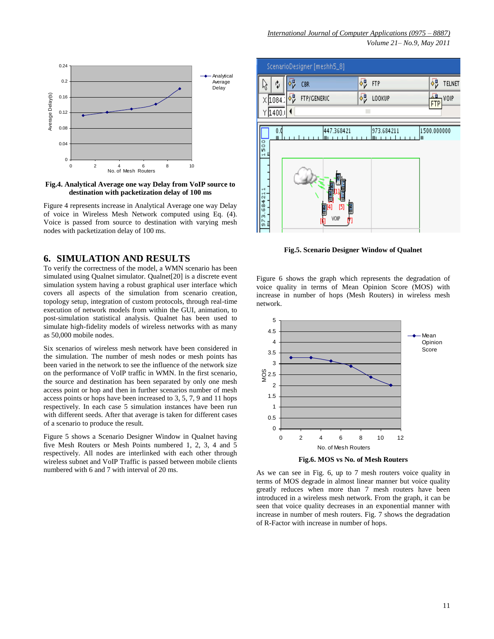

**Fig.4. Analytical Average one way Delay from VoIP source to destination with packetization delay of 100 ms**

Figure 4 represents increase in Analytical Average one way Delay of voice in Wireless Mesh Network computed using Eq. (4). Voice is passed from source to destination with varying mesh nodes with packetization delay of 100 ms.

## **6. SIMULATION AND RESULTS**

To verify the correctness of the model, a WMN scenario has been simulated using Qualnet simulator. Qualnet[20] is a discrete event simulation system having a robust graphical user interface which covers all aspects of the simulation from scenario creation, topology setup, integration of custom protocols, through real-time execution of network models from within the GUI, animation, to post-simulation statistical analysis. Qualnet has been used to simulate high-fidelity models of wireless networks with as many as 50,000 mobile nodes.

Six scenarios of wireless mesh network have been considered in the simulation. The number of mesh nodes or mesh points has been varied in the network to see the influence of the network size on the performance of VoIP traffic in WMN. In the first scenario, the source and destination has been separated by only one mesh access point or hop and then in further scenarios number of mesh access points or hops have been increased to 3, 5, 7, 9 and 11 hops respectively. In each case 5 simulation instances have been run with different seeds. After that average is taken for different cases of a scenario to produce the result.

Figure 5 shows a Scenario Designer Window in Qualnet having five Mesh Routers or Mesh Points numbered 1, 2, 3, 4 and 5 respectively. All nodes are interlinked with each other through wireless subnet and VoIP Traffic is passed between mobile clients numbered with 6 and 7 with interval of 20 ms.



**Fig.5. Scenario Designer Window of Qualnet**

Figure 6 shows the graph which represents the degradation of voice quality in terms of Mean Opinion Score (MOS) with increase in number of hops (Mesh Routers) in wireless mesh network.



**Fig.6. MOS vs No. of Mesh Routers**

As we can see in Fig. 6, up to 7 mesh routers voice quality in terms of MOS degrade in almost linear manner but voice quality greatly reduces when more than 7 mesh routers have been introduced in a wireless mesh network. From the graph, it can be seen that voice quality decreases in an exponential manner with increase in number of mesh routers. Fig. 7 shows the degradation of R-Factor with increase in number of hops.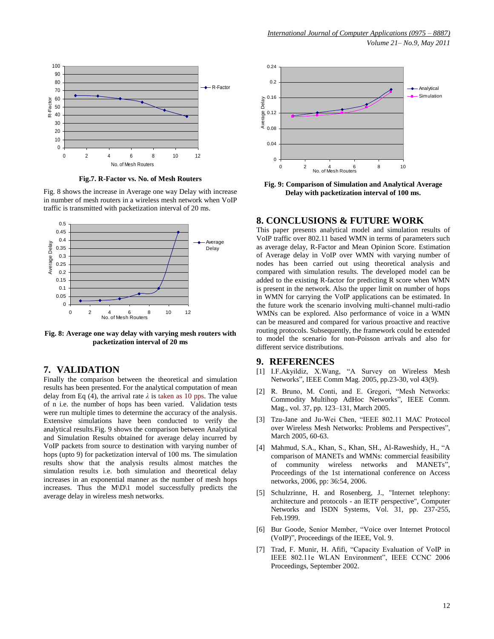

**Fig.7. R-Factor vs. No. of Mesh Routers**

Fig. 8 shows the increase in Average one way Delay with increase in number of mesh routers in a wireless mesh network when VoIP traffic is transmitted with packetization interval of 20 ms.



**Fig. 8: Average one way delay with varying mesh routers with packetization interval of 20 ms**

## **7. VALIDATION**

Finally the comparison between the theoretical and simulation results has been presented. For the analytical computation of mean delay from Eq (4), the arrival rate  $\lambda$  is taken as 10 pps. The value of n i.e. the number of hops has been varied. Validation tests were run multiple times to determine the accuracy of the analysis. Extensive simulations have been conducted to verify the analytical results.Fig. 9 shows the comparison between Analytical and Simulation Results obtained for average delay incurred by VoIP packets from source to destination with varying number of hops (upto 9) for packetization interval of 100 ms. The simulation results show that the analysis results almost matches the simulation results i.e. both simulation and theoretical delay increases in an exponential manner as the number of mesh hops increases. Thus the M\D\1 model successfully predicts the average delay in wireless mesh networks.



**Fig. 9: Comparison of Simulation and Analytical Average Delay with packetization interval of 100 ms.**

### **8. CONCLUSIONS & FUTURE WORK**

This paper presents analytical model and simulation results of VoIP traffic over 802.11 based WMN in terms of parameters such as average delay, R-Factor and Mean Opinion Score. Estimation of Average delay in VoIP over WMN with varying number of nodes has been carried out using theoretical analysis and compared with simulation results. The developed model can be added to the existing R-factor for predicting R score when WMN is present in the network. Also the upper limit on number of hops in WMN for carrying the VoIP applications can be estimated. In the future work the scenario involving multi-channel multi-radio WMNs can be explored. Also performance of voice in a WMN can be measured and compared for various proactive and reactive routing protocols. Subsequently, the framework could be extended to model the scenario for non-Poisson arrivals and also for different service distributions.

## **9. REFERENCES**

- [1] I.F.Akyildiz, X.Wang, "A Survey on Wireless Mesh Networks", IEEE Comm Mag. 2005, pp.23-30, vol 43(9).
- [2] R. Bruno, M. Conti, and E. Gregori, "Mesh Networks: Commodity Multihop AdHoc Networks", IEEE Comm. Mag., vol. 37, pp. 123–131, March 2005.
- [3] Tzu-Jane and Ju-Wei Chen, "IEEE 802.11 MAC Protocol over Wireless Mesh Networks: Problems and Perspectives", March 2005, 60-63.
- [4] Mahmud, S.A., Khan, S., Khan, SH., Al-Raweshidy, H., "A comparison of MANETs and WMNs: commercial feasibility of community wireless networks and MANETs", Proceedings of the 1st international conference on Access networks, 2006, pp: 36:54, 2006.
- [5] Schulzrinne, H. and Rosenberg, J., "Internet telephony: architecture and protocols - an IETF perspective", Computer Networks and ISDN Systems, Vol. 31, pp. 237-255, Feb.1999.
- [6] Bur Goode, Senior Member, "Voice over Internet Protocol (VoIP)", Proceedings of the IEEE, Vol. 9.
- [7] Trad, F. Munir, H. Afifi, "Capacity Evaluation of VoIP in IEEE 802.11e WLAN Environment", IEEE CCNC 2006 Proceedings, September 2002.